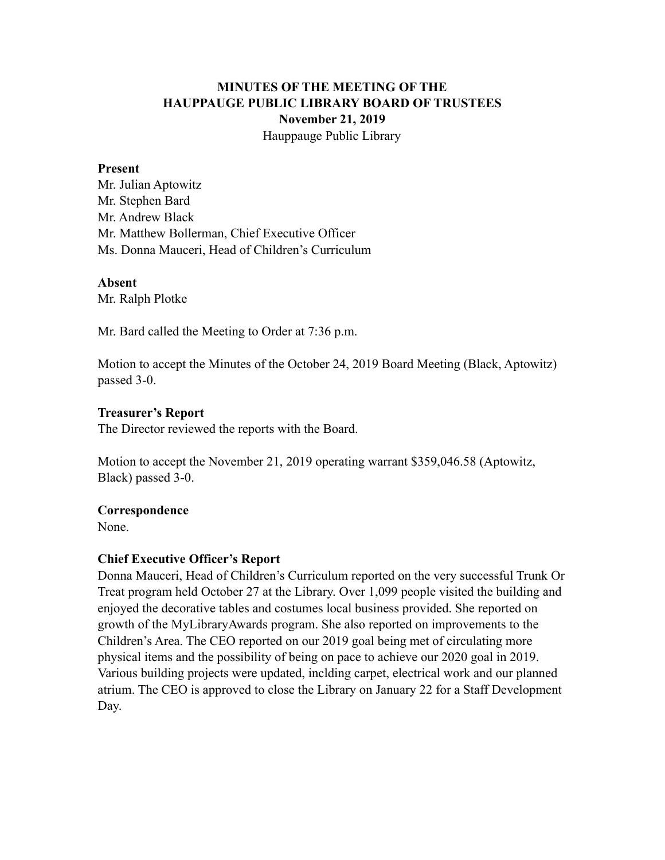# **MINUTES OF THE MEETING OF THE HAUPPAUGE PUBLIC LIBRARY BOARD OF TRUSTEES November 21, 2019** Hauppauge Public Library

#### **Present**

Mr. Julian Aptowitz Mr. Stephen Bard Mr. Andrew Black Mr. Matthew Bollerman, Chief Executive Officer Ms. Donna Mauceri, Head of Children's Curriculum

#### **Absent**

Mr. Ralph Plotke

Mr. Bard called the Meeting to Order at 7:36 p.m.

Motion to accept the Minutes of the October 24, 2019 Board Meeting (Black, Aptowitz) passed 3-0.

#### **Treasurer's Report**

The Director reviewed the reports with the Board.

Motion to accept the November 21, 2019 operating warrant \$359,046.58 (Aptowitz, Black) passed 3-0.

## **Correspondence**

None.

## **Chief Executive Officer's Report**

Donna Mauceri, Head of Children's Curriculum reported on the very successful Trunk Or Treat program held October 27 at the Library. Over 1,099 people visited the building and enjoyed the decorative tables and costumes local business provided. She reported on growth of the MyLibraryAwards program. She also reported on improvements to the Children's Area. The CEO reported on our 2019 goal being met of circulating more physical items and the possibility of being on pace to achieve our 2020 goal in 2019. Various building projects were updated, inclding carpet, electrical work and our planned atrium. The CEO is approved to close the Library on January 22 for a Staff Development Day.